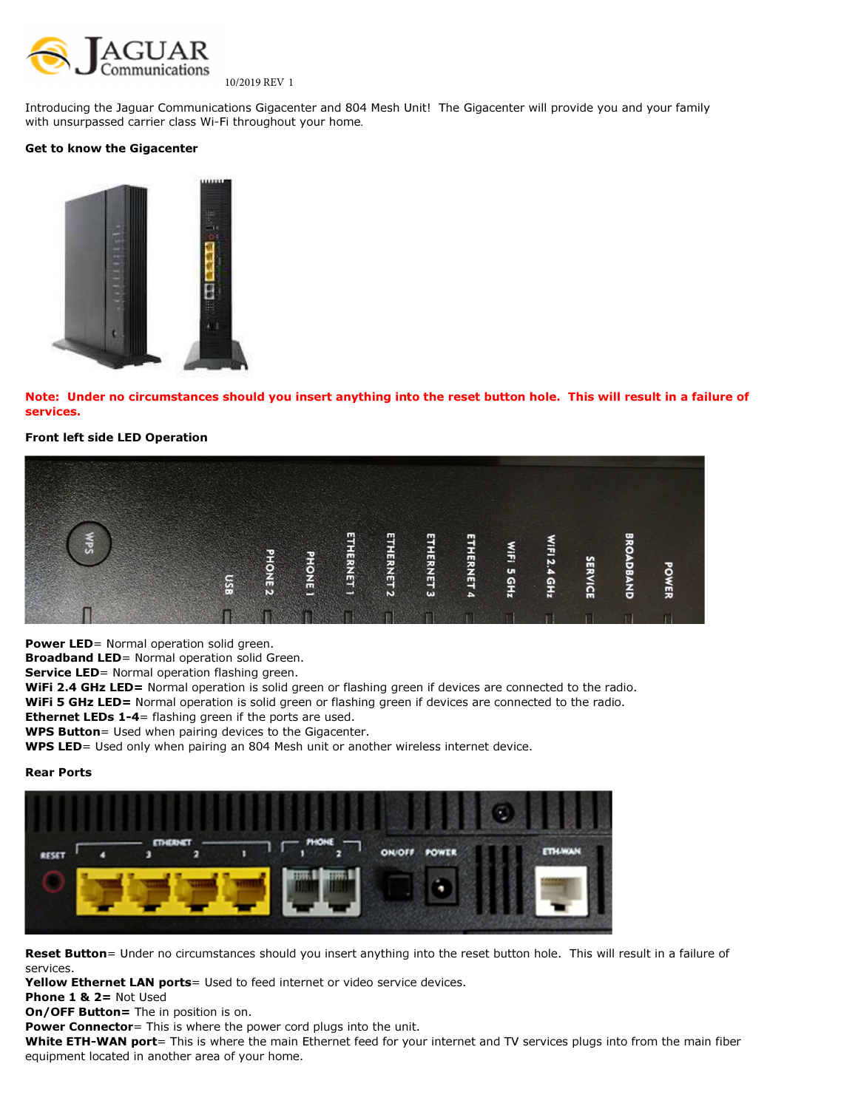

10/2019 REV 1

Introducing the Jaguar Communications Gigacenter and 804 Mesh Unit! The Gigacenter will provide you and your family with unsurpassed carrier class Wi-Fi throughout your home.

## Get to know the Gigacenter



# Note: Under no circumstances should you insert anything into the reset button hole. This will result in a failure of services.

### Front left side LED Operation



Power LED= Normal operation solid green.

**Broadband LED**= Normal operation solid Green.

Service LED= Normal operation flashing green.

WiFi 2.4 GHz LED= Normal operation is solid green or flashing green if devices are connected to the radio. WIFI 5 GHz LED= Normal operation is solid green or flashing green if devices are connected to the radio.

**Ethernet LEDs 1-4**= flashing green if the ports are used.

WPS Button= Used when pairing devices to the Gigacenter.

WPS LED= Used only when pairing an 804 Mesh unit or another wireless internet device.

#### Rear Ports



Reset Button= Under no circumstances should you insert anything into the reset button hole. This will result in a failure of services.

Yellow Ethernet LAN ports= Used to feed internet or video service devices.

Phone 1 & 2= Not Used

On/OFF Button= The in position is on.

**Power Connector**= This is where the power cord plugs into the unit.

White ETH-WAN port= This is where the main Ethernet feed for your internet and TV services plugs into from the main fiber equipment located in another area of your home.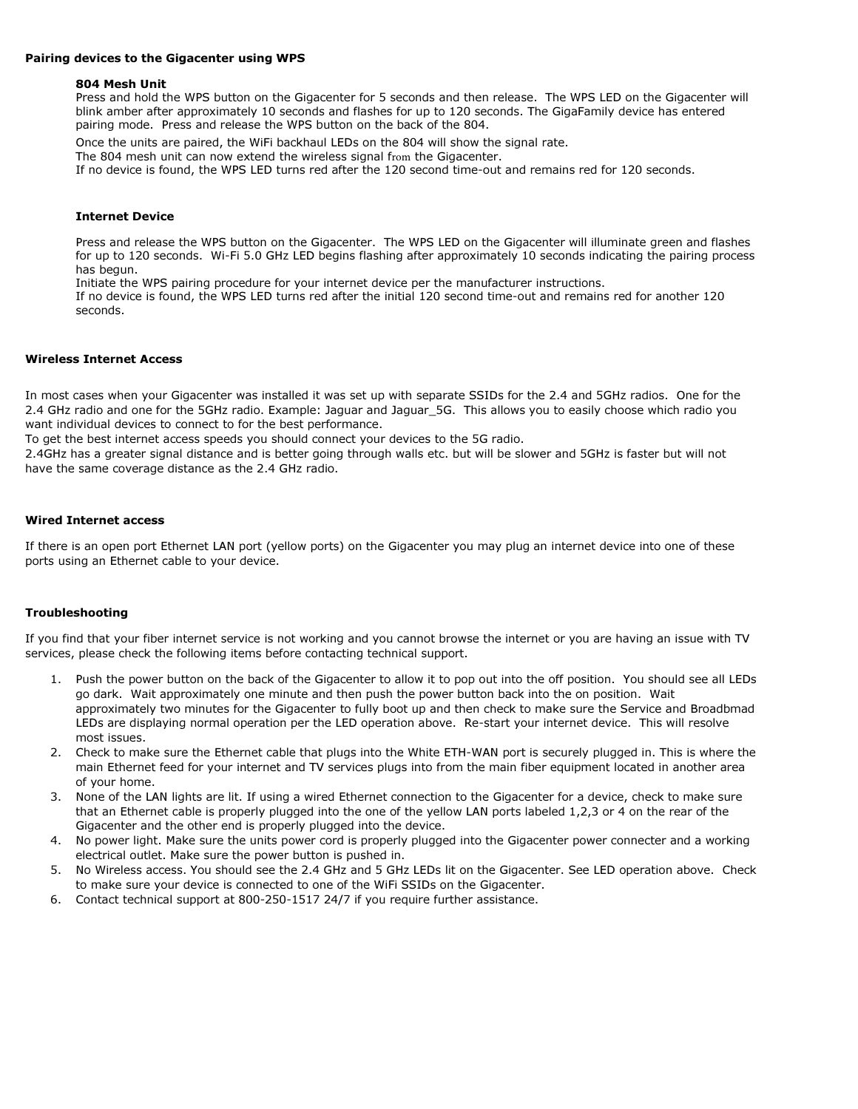#### Pairing devices to the Gigacenter using WPS

#### 804 Mesh Unit

Press and hold the WPS button on the Gigacenter for 5 seconds and then release. The WPS LED on the Gigacenter will blink amber after approximately 10 seconds and flashes for up to 120 seconds. The GigaFamily device has entered pairing mode. Press and release the WPS button on the back of the 804.

Once the units are paired, the WiFi backhaul LEDs on the 804 will show the signal rate.

The 804 mesh unit can now extend the wireless signal from the Gigacenter.

If no device is found, the WPS LED turns red after the 120 second time-out and remains red for 120 seconds.

### Internet Device

Press and release the WPS button on the Gigacenter. The WPS LED on the Gigacenter will illuminate green and flashes for up to 120 seconds. Wi-Fi 5.0 GHz LED begins flashing after approximately 10 seconds indicating the pairing process has begun.

Initiate the WPS pairing procedure for your internet device per the manufacturer instructions.

If no device is found, the WPS LED turns red after the initial 120 second time-out and remains red for another 120 seconds.

#### Wireless Internet Access

In most cases when your Gigacenter was installed it was set up with separate SSIDs for the 2.4 and 5GHz radios. One for the 2.4 GHz radio and one for the 5GHz radio. Example: Jaguar and Jaguar\_5G. This allows you to easily choose which radio you want individual devices to connect to for the best performance.

To get the best internet access speeds you should connect your devices to the 5G radio.

2.4GHz has a greater signal distance and is better going through walls etc. but will be slower and 5GHz is faster but will not have the same coverage distance as the 2.4 GHz radio.

#### Wired Internet access

If there is an open port Ethernet LAN port (yellow ports) on the Gigacenter you may plug an internet device into one of these ports using an Ethernet cable to your device.

### Troubleshooting

If you find that your fiber internet service is not working and you cannot browse the internet or you are having an issue with TV services, please check the following items before contacting technical support.

- Push the power button on the back of the Gigacenter to allow it to pop out into the off position. You should see all LEDs go dark. Wait approximately one minute and then push the power button back into the on position. Wait approximately two minutes for the Gigacenter to fully boot up and then check to make sure the Service and Broadbmad LEDs are displaying normal operation per the LED operation above. Re-start your internet device. This will resolve most issues.
- 2. Check to make sure the Ethernet cable that plugs into the White ETH-WAN port is securely plugged in. This is where the main Ethernet feed for your internet and TV services plugs into from the main fiber equipment located in another area of your home.
- 3. None of the LAN lights are lit. If using a wired Ethernet connection to the Gigacenter for a device, check to make sure that an Ethernet cable is properly plugged into the one of the yellow LAN ports labeled 1,2,3 or 4 on the rear of the Gigacenter and the other end is properly plugged into the device.
- 4. No power light. Make sure the units power cord is properly plugged into the Gigacenter power connecter and a working electrical outlet. Make sure the power button is pushed in.
- 5. No Wireless access. You should see the 2.4 GHz and 5 GHz LEDs lit on the Gigacenter. See LED operation above. Check to make sure your device is connected to one of the WiFi SSIDs on the Gigacenter.
- 6. Contact technical support at 800-250-1517 24/7 if you require further assistance.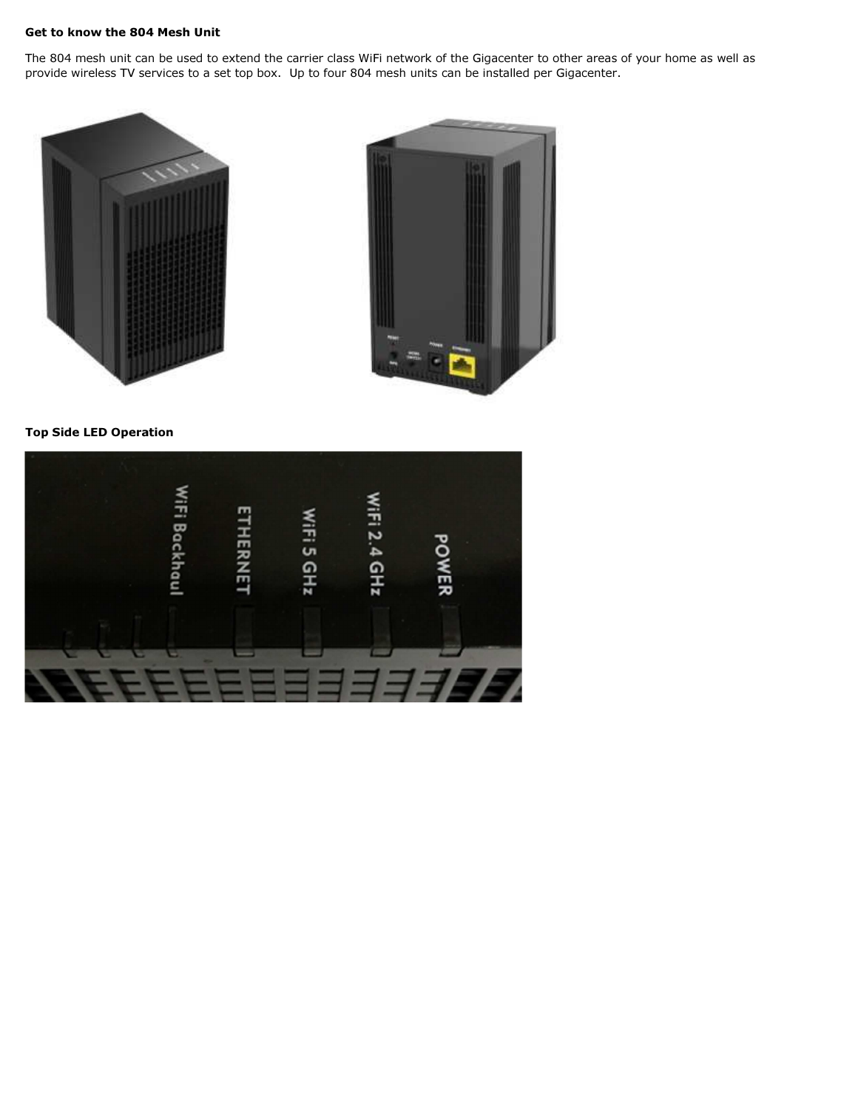## Get to know the 804 Mesh Unit

The 804 mesh unit can be used to extend the carrier class WiFi network of the Gigacenter to other areas of your home as well as provide wireless TV services to a set top box. Up to four 804 mesh units can be installed per Gigacenter.





Top Side LED Operation

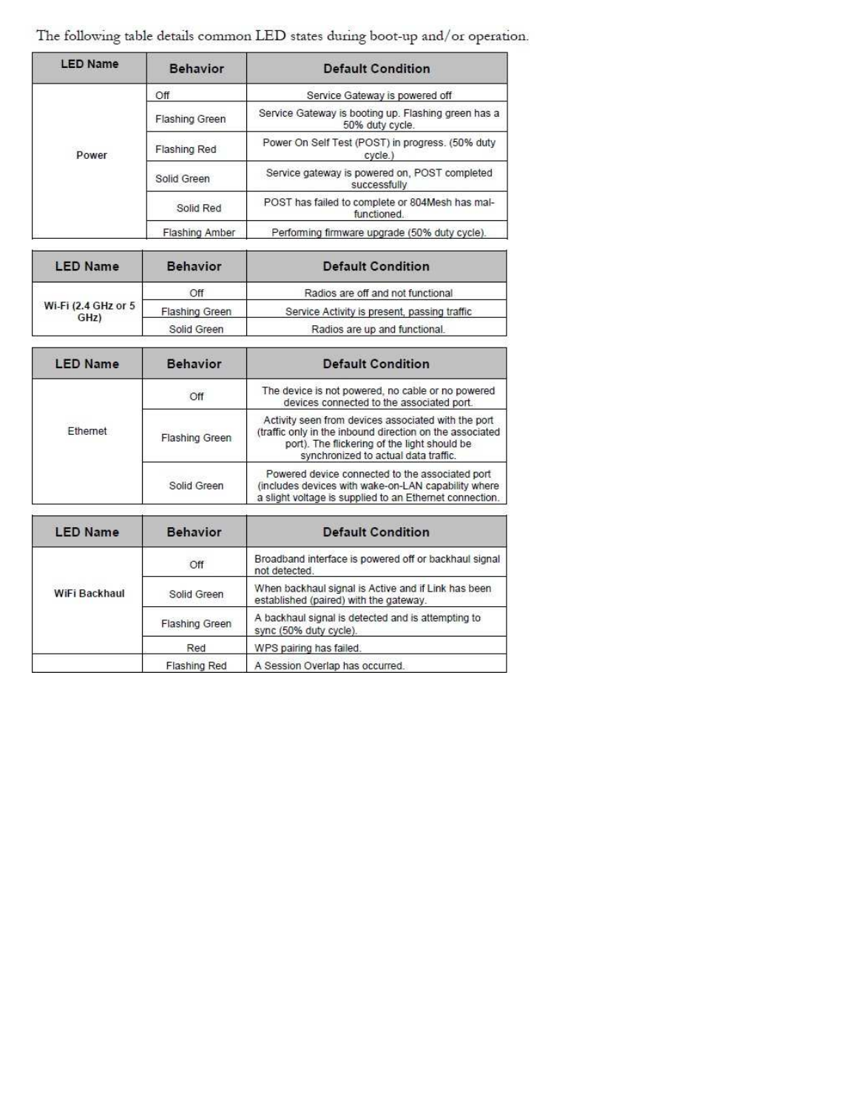The following table details common LED states during boot-up and/or operation.

| <b>LED Name</b> | <b>Behavior</b>       | <b>Default Condition</b>                                               |
|-----------------|-----------------------|------------------------------------------------------------------------|
|                 | Off                   | Service Gateway is powered off                                         |
|                 | <b>Flashing Green</b> | Service Gateway is booting up. Flashing green has a<br>50% duty cycle. |
| Power           | Flashing Red          | Power On Self Test (POST) in progress. (50% duty<br>cycle.)            |
|                 | Solid Green           | Service gateway is powered on, POST completed<br>successfully          |
|                 | Solid Red             | POST has failed to complete or 804Mesh has mal-<br>functioned.         |
|                 | Flashing Amber        | Performing firmware upgrade (50% duty cycle).                          |

| <b>LED Name</b>             | <b>Behavior</b> | <b>Default Condition</b>                     |  |
|-----------------------------|-----------------|----------------------------------------------|--|
| Wi-Fi (2.4 GHz or 5<br>GHz) | Off             | Radios are off and not functional            |  |
|                             | Flashing Green  | Service Activity is present, passing traffic |  |
|                             | Solid Green     | Radios are up and functional.                |  |

| <b>LED Name</b> | Behavior       | <b>Default Condition</b>                                                                                                                                                                                |
|-----------------|----------------|---------------------------------------------------------------------------------------------------------------------------------------------------------------------------------------------------------|
| Ethernet        | Off            | The device is not powered, no cable or no powered<br>devices connected to the associated port.                                                                                                          |
|                 | Flashing Green | Activity seen from devices associated with the port<br>(traffic only in the inbound direction on the associated<br>port). The flickering of the light should be<br>synchronized to actual data traffic. |
|                 | Solid Green    | Powered device connected to the associated port<br>(includes devices with wake-on-LAN capability where<br>a slight voltage is supplied to an Ethernet connection.                                       |

| <b>LED Name</b> | <b>Behavior</b>     | <b>Default Condition</b>                                                                      |  |
|-----------------|---------------------|-----------------------------------------------------------------------------------------------|--|
|                 | Off                 | Broadband interface is powered off or backhaul signal<br>not detected.                        |  |
| WiFi Backhaul   | Solid Green         | When backhaul signal is Active and if Link has been<br>established (paired) with the gateway. |  |
|                 | Flashing Green      | A backhaul signal is detected and is attempting to<br>sync (50% duty cycle).                  |  |
|                 | Red                 | WPS pairing has failed.                                                                       |  |
|                 | <b>Flashing Red</b> | A Session Overlap has occurred.                                                               |  |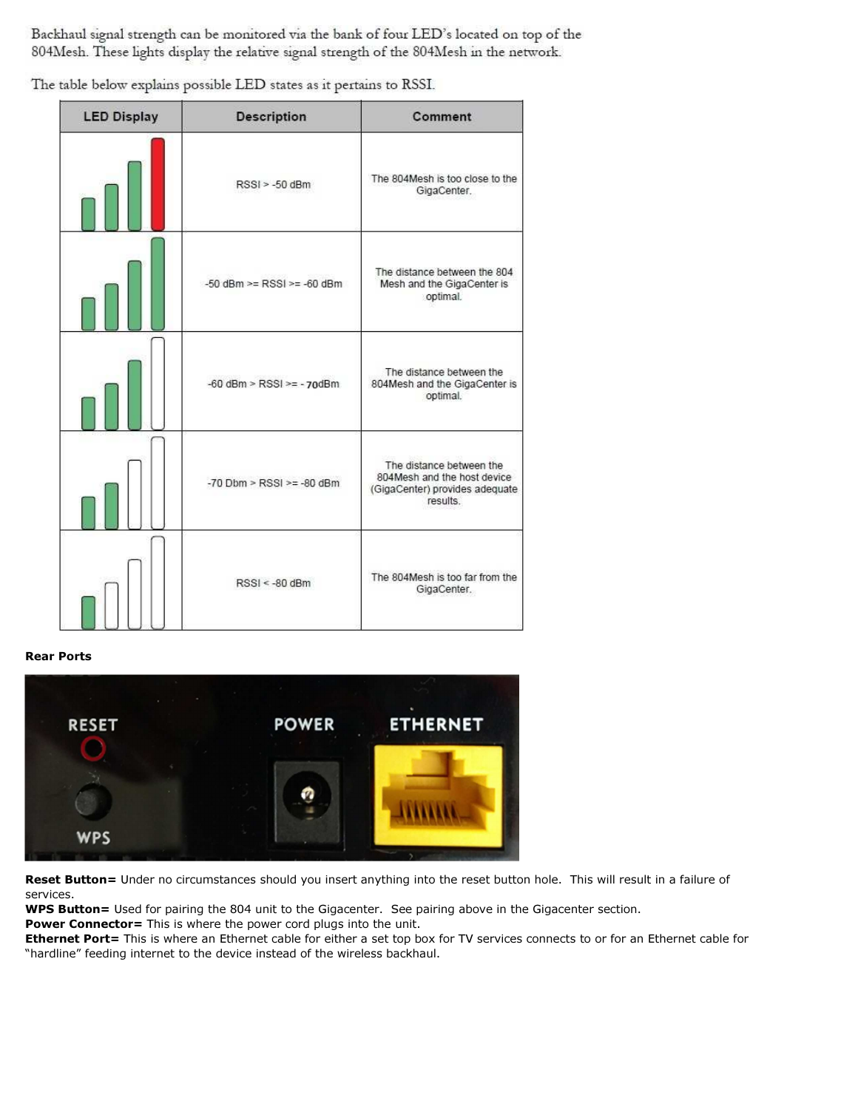Backhaul signal strength can be monitored via the bank of four LED's located on top of the 804Mesh. These lights display the relative signal strength of the 804Mesh in the network.

The table below explains possible LED states as it pertains to RSSI.

| <b>LED Display</b> | <b>Description</b>               | Comment<br>The 804Mesh is too close to the<br>GigaCenter.                                             |  |
|--------------------|----------------------------------|-------------------------------------------------------------------------------------------------------|--|
|                    | RSSI > -50 dBm                   |                                                                                                       |  |
|                    | $-50$ dBm $>=$ RSSI $>=$ -60 dBm | The distance between the 804<br>Mesh and the GigaCenter is<br>optimal.                                |  |
|                    | $-60$ dBm > RSSI >= $-70$ dBm    | The distance between the<br>804Mesh and the GigaCenter is<br>optimal.                                 |  |
|                    | -70 Dbm > RSSI >= -80 dBm        | The distance between the<br>804Mesh and the host device<br>(GigaCenter) provides adequate<br>results. |  |
|                    | $RSSI < -80$ dBm                 | The 804Mesh is too far from the<br>GigaCenter.                                                        |  |

Rear Ports



Reset Button= Under no circumstances should you insert anything into the reset button hole. This will result in a failure of services.

WPS Button= Used for pairing the 804 unit to the Gigacenter. See pairing above in the Gigacenter section.

Power Connector= This is where the power cord plugs into the unit.

Ethernet Port= This is where an Ethernet cable for either a set top box for TV services connects to or for an Ethernet cable for "hardline" feeding internet to the device instead of the wireless backhaul.